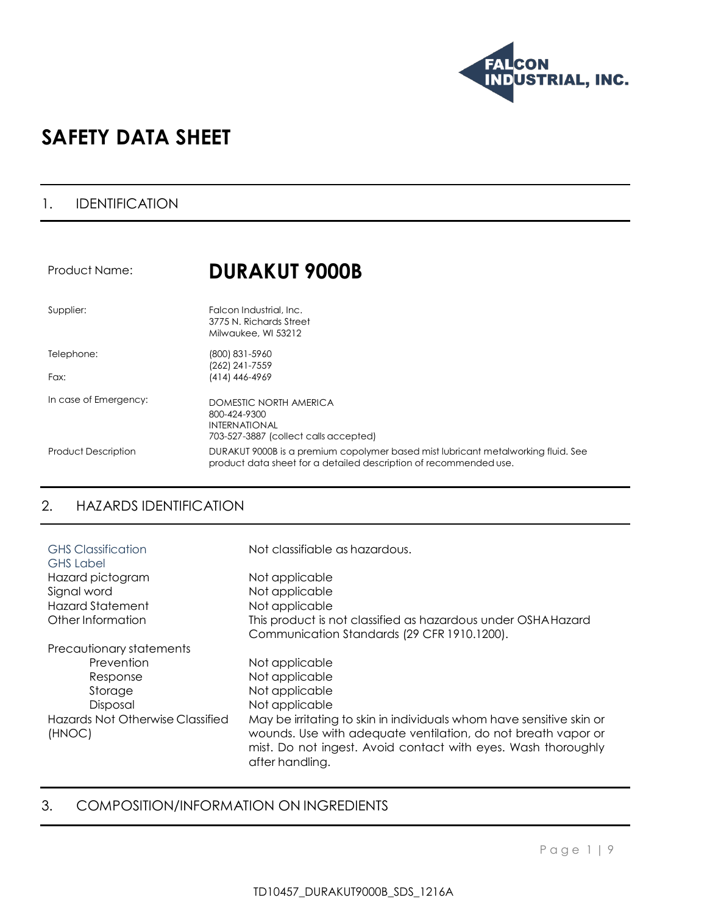

# **SAFETY DATA SHEET**

### 1. IDENTIFICATION

| Product Name:              | <b>DURAKUT 9000B</b>                                                                                                                                   |
|----------------------------|--------------------------------------------------------------------------------------------------------------------------------------------------------|
| Supplier:                  | Falcon Industrial, Inc.<br>3775 N. Richards Street<br>Milwaukee, WI 53212                                                                              |
| Telephone:<br>Fax:         | (800) 831-5960<br>(262) 241-7559<br>(414) 446-4969                                                                                                     |
| In case of Emergency:      | DOMESTIC NORTH AMERICA<br>800-424-9300<br><b>INTERNATIONAL</b><br>703-527-3887 (collect calls accepted)                                                |
| <b>Product Description</b> | DURAKUT 9000B is a premium copolymer based mist lubricant metalworking fluid. See<br>product data sheet for a detailed description of recommended use. |

# 2. HAZARDS IDENTIFICATION

| <b>GHS</b> Classification<br><b>GHS Label</b> | Not classifiable as hazardous.                                       |
|-----------------------------------------------|----------------------------------------------------------------------|
| Hazard pictogram                              | Not applicable                                                       |
| Signal word                                   | Not applicable                                                       |
| <b>Hazard Statement</b>                       | Not applicable                                                       |
| Other Information                             | This product is not classified as hazardous under OSHA Hazard        |
|                                               | Communication Standards (29 CFR 1910.1200).                          |
| Precautionary statements                      |                                                                      |
| Prevention                                    | Not applicable                                                       |
| Response                                      | Not applicable                                                       |
| Storage                                       | Not applicable                                                       |
| Disposal                                      | Not applicable                                                       |
| Hazards Not Otherwise Classified              | May be irritating to skin in individuals whom have sensitive skin or |
| (HNOC)                                        | wounds. Use with adequate ventilation, do not breath vapor or        |
|                                               | mist. Do not ingest. Avoid contact with eyes. Wash thoroughly        |
|                                               | after handling.                                                      |

### 3. COMPOSITION/INFORMATION ON INGREDIENTS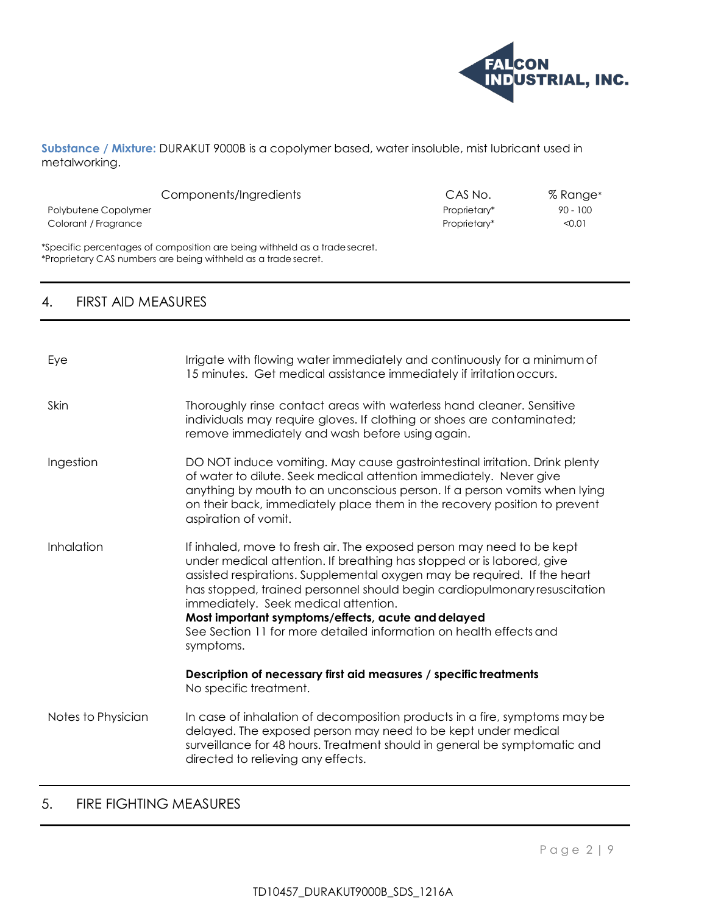

**Substance / Mixture:** DURAKUT 9000B is a copolymer based, water insoluble, mist lubricant used in metalworking.

| Components/Ingredients                                                                                                                      | CAS No.      | $%$ Range $*$ |
|---------------------------------------------------------------------------------------------------------------------------------------------|--------------|---------------|
| Polybutene Copolymer                                                                                                                        | Proprietary* | $90 - 100$    |
| Colorant / Fragrance                                                                                                                        | Proprietary* | < 0.01        |
| *Specific percentages of composition are being withheld as a tradesecret.<br>*Proprietary CAS numbers are being withheld as a trade secret. |              |               |

## 4. FIRST AID MEASURES

| Eye                | Irrigate with flowing water immediately and continuously for a minimum of<br>15 minutes. Get medical assistance immediately if irritation occurs.                                                                                                                                                                                                                                                                                                                                        |
|--------------------|------------------------------------------------------------------------------------------------------------------------------------------------------------------------------------------------------------------------------------------------------------------------------------------------------------------------------------------------------------------------------------------------------------------------------------------------------------------------------------------|
| Skin               | Thoroughly rinse contact areas with waterless hand cleaner. Sensitive<br>individuals may require gloves. If clothing or shoes are contaminated;<br>remove immediately and wash before using again.                                                                                                                                                                                                                                                                                       |
| Ingestion          | DO NOT induce vomiting. May cause gastrointestinal irritation. Drink plenty<br>of water to dilute. Seek medical attention immediately. Never give<br>anything by mouth to an unconscious person. If a person vomits when lying<br>on their back, immediately place them in the recovery position to prevent<br>aspiration of vomit.                                                                                                                                                      |
| Inhalation         | If inhaled, move to fresh air. The exposed person may need to be kept<br>under medical attention. If breathing has stopped or is labored, give<br>assisted respirations. Supplemental oxygen may be required. If the heart<br>has stopped, trained personnel should begin cardiopulmonary resuscitation<br>immediately. Seek medical attention.<br>Most important symptoms/effects, acute and delayed<br>See Section 11 for more detailed information on health effects and<br>symptoms. |
|                    | Description of necessary first aid measures / specific treatments<br>No specific treatment.                                                                                                                                                                                                                                                                                                                                                                                              |
| Notes to Physician | In case of inhalation of decomposition products in a fire, symptoms may be<br>delayed. The exposed person may need to be kept under medical<br>surveillance for 48 hours. Treatment should in general be symptomatic and<br>directed to relieving any effects.                                                                                                                                                                                                                           |

# 5. FIRE FIGHTING MEASURES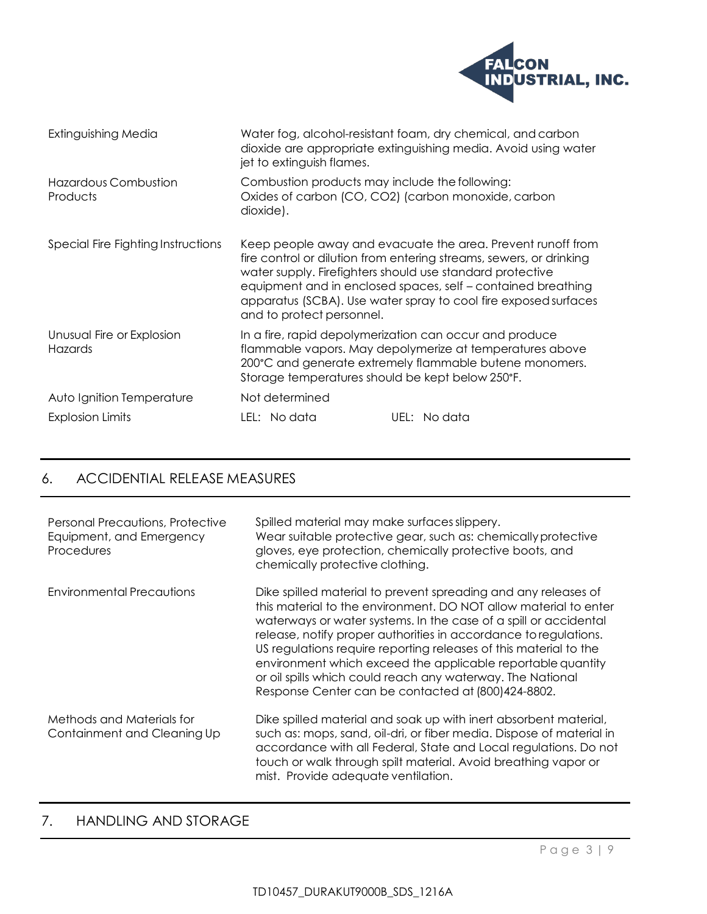

| Extinguishing Media                     | jet to extinguish flames.                                                                                          | Water fog, alcohol-resistant foam, dry chemical, and carbon<br>dioxide are appropriate extinguishing media. Avoid using water                                                                                                                                         |
|-----------------------------------------|--------------------------------------------------------------------------------------------------------------------|-----------------------------------------------------------------------------------------------------------------------------------------------------------------------------------------------------------------------------------------------------------------------|
| <b>Hazardous Combustion</b><br>Products | Combustion products may include the following:<br>Oxides of carbon (CO, CO2) (carbon monoxide, carbon<br>dioxide). |                                                                                                                                                                                                                                                                       |
| Special Fire Fighting Instructions      | water supply. Firefighters should use standard protective<br>and to protect personnel.                             | Keep people away and evacuate the area. Prevent runoff from<br>fire control or dilution from entering streams, sewers, or drinking<br>equipment and in enclosed spaces, self – contained breathing<br>apparatus (SCBA). Use water spray to cool fire exposed surfaces |
| Unusual Fire or Explosion<br>Hazards    | In a fire, rapid depolymerization can occur and produce<br>Storage temperatures should be kept below 250°F.        | flammable vapors. May depolymerize at temperatures above<br>200°C and generate extremely flammable butene monomers.                                                                                                                                                   |
| Auto Ignition Temperature               | Not determined                                                                                                     |                                                                                                                                                                                                                                                                       |
| <b>Explosion Limits</b>                 | LEL: No data                                                                                                       | UEL: No data                                                                                                                                                                                                                                                          |

# 6. ACCIDENTIAL RELEASE MEASURES

| <b>Personal Precautions, Protective</b><br>Equipment, and Emergency<br>Procedures | Spilled material may make surfaces slippery.<br>Wear suitable protective gear, such as: chemically protective<br>gloves, eye protection, chemically protective boots, and<br>chemically protective clothing.                                                                                                                                                                                                                                                                                                                       |
|-----------------------------------------------------------------------------------|------------------------------------------------------------------------------------------------------------------------------------------------------------------------------------------------------------------------------------------------------------------------------------------------------------------------------------------------------------------------------------------------------------------------------------------------------------------------------------------------------------------------------------|
| <b>Environmental Precautions</b>                                                  | Dike spilled material to prevent spreading and any releases of<br>this material to the environment. DO NOT allow material to enter<br>waterways or water systems. In the case of a spill or accidental<br>release, notify proper authorities in accordance to regulations.<br>US regulations require reporting releases of this material to the<br>environment which exceed the applicable reportable quantity<br>or oil spills which could reach any waterway. The National<br>Response Center can be contacted at (800)424-8802. |
| Methods and Materials for<br>Containment and Cleaning Up                          | Dike spilled material and soak up with inert absorbent material,<br>such as: mops, sand, oil-dri, or fiber media. Dispose of material in<br>accordance with all Federal, State and Local regulations. Do not<br>touch or walk through spilt material. Avoid breathing vapor or<br>mist. Provide adequate ventilation.                                                                                                                                                                                                              |

# 7. HANDLING AND STORAGE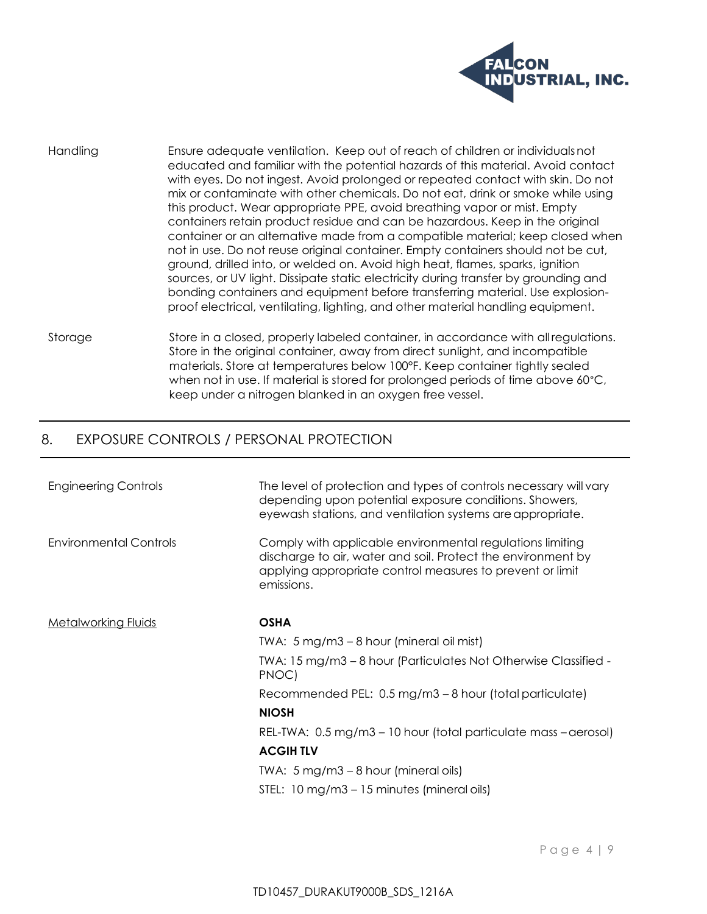

Handling Ensure adequate ventilation. Keep out of reach of children or individualsnot educated and familiar with the potential hazards of this material. Avoid contact with eyes. Do not ingest. Avoid prolonged or repeated contact with skin. Do not mix or contaminate with other chemicals. Do not eat, drink or smoke while using this product. Wear appropriate PPE, avoid breathing vapor or mist. Empty containers retain product residue and can be hazardous. Keep in the original container or an alternative made from a compatible material; keep closed when not in use. Do not reuse original container. Empty containers should not be cut, ground, drilled into, or welded on. Avoid high heat, flames, sparks, ignition sources, or UV light. Dissipate static electricity during transfer by grounding and bonding containers and equipment before transferring material. Use explosionproof electrical, ventilating, lighting, and other material handling equipment.

Storage Store in a closed, properly labeled container, in accordance with allregulations. Store in the original container, away from direct sunlight, and incompatible materials. Store at temperatures below 100°F. Keep container tightly sealed when not in use. If material is stored for prolonged periods of time above 60°C, keep under a nitrogen blanked in an oxygen free vessel.

#### 8. EXPOSURE CONTROLS / PERSONAL PROTECTION

| <b>Engineering Controls</b>   | The level of protection and types of controls necessary will vary<br>depending upon potential exposure conditions. Showers,<br>eyewash stations, and ventilation systems are appropriate.            |
|-------------------------------|------------------------------------------------------------------------------------------------------------------------------------------------------------------------------------------------------|
| <b>Environmental Controls</b> | Comply with applicable environmental regulations limiting<br>discharge to air, water and soil. Protect the environment by<br>applying appropriate control measures to prevent or limit<br>emissions. |
| <b>Metalworking Fluids</b>    | <b>OSHA</b>                                                                                                                                                                                          |
|                               | TWA: 5 mg/m3 – 8 hour (mineral oil mist)                                                                                                                                                             |
|                               | TWA: 15 mg/m3 – 8 hour (Particulates Not Otherwise Classified -<br>PNOC)                                                                                                                             |
|                               | Recommended PEL: 0.5 mg/m3 - 8 hour (total particulate)                                                                                                                                              |
|                               | <b>NIOSH</b>                                                                                                                                                                                         |
|                               | REL-TWA: 0.5 mg/m3 – 10 hour (total particulate mass – aerosol)                                                                                                                                      |
|                               | <b>ACGIHTLV</b>                                                                                                                                                                                      |
|                               | TWA: $5 \text{ mg/m}3 - 8 \text{ hour}$ (mineral oils)                                                                                                                                               |
|                               | STEL: 10 mg/m3 – 15 minutes (mineral oils)                                                                                                                                                           |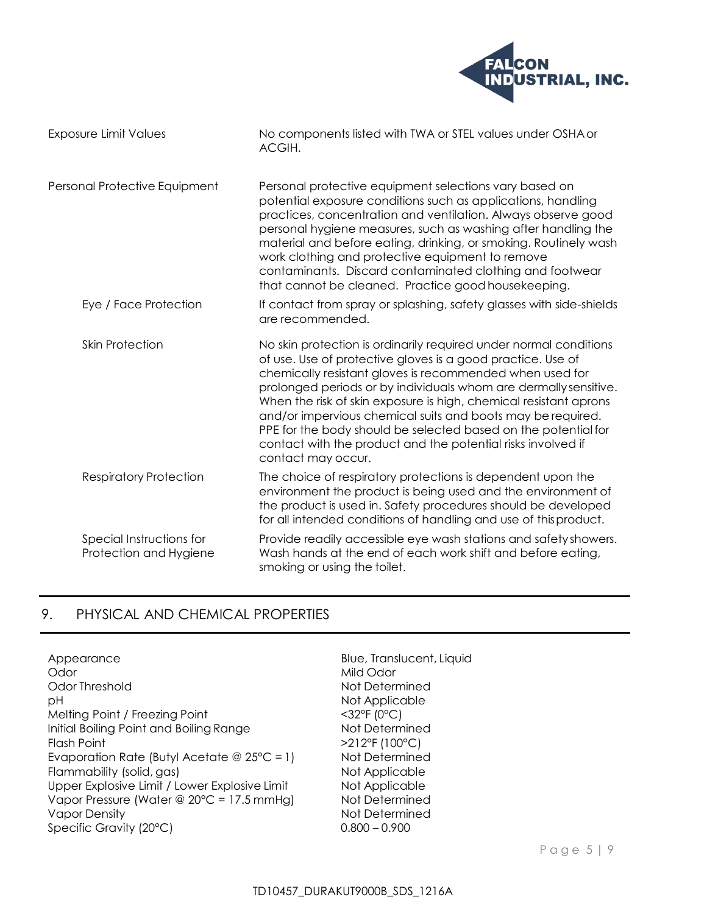

| Exposure Limit Values                              | No components listed with TWA or STEL values under OSHA or<br>ACGIH.                                                                                                                                                                                                                                                                                                                                                                                                                                                                                         |  |  |
|----------------------------------------------------|--------------------------------------------------------------------------------------------------------------------------------------------------------------------------------------------------------------------------------------------------------------------------------------------------------------------------------------------------------------------------------------------------------------------------------------------------------------------------------------------------------------------------------------------------------------|--|--|
| Personal Protective Equipment                      | Personal protective equipment selections vary based on<br>potential exposure conditions such as applications, handling<br>practices, concentration and ventilation. Always observe good<br>personal hygiene measures, such as washing after handling the<br>material and before eating, drinking, or smoking. Routinely wash<br>work clothing and protective equipment to remove<br>contaminants. Discard contaminated clothing and footwear<br>that cannot be cleaned. Practice good housekeeping.                                                          |  |  |
| Eye / Face Protection                              | If contact from spray or splashing, safety glasses with side-shields<br>are recommended.                                                                                                                                                                                                                                                                                                                                                                                                                                                                     |  |  |
| <b>Skin Protection</b>                             | No skin protection is ordinarily required under normal conditions<br>of use. Use of protective gloves is a good practice. Use of<br>chemically resistant gloves is recommended when used for<br>prolonged periods or by individuals whom are dermally sensitive.<br>When the risk of skin exposure is high, chemical resistant aprons<br>and/or impervious chemical suits and boots may be required.<br>PPE for the body should be selected based on the potential for<br>contact with the product and the potential risks involved if<br>contact may occur. |  |  |
| <b>Respiratory Protection</b>                      | The choice of respiratory protections is dependent upon the<br>environment the product is being used and the environment of<br>the product is used in. Safety procedures should be developed<br>for all intended conditions of handling and use of this product.                                                                                                                                                                                                                                                                                             |  |  |
| Special Instructions for<br>Protection and Hygiene | Provide readily accessible eye wash stations and safety showers.<br>Wash hands at the end of each work shift and before eating,<br>smoking or using the toilet.                                                                                                                                                                                                                                                                                                                                                                                              |  |  |

## 9. PHYSICAL AND CHEMICAL PROPERTIES

Appearance Blue, Translucent, Liquid Odor Mild Odor Mild Odor Odor Threshold Not Determined pH Not Applicable Melting Point / Freezing Point  $\leq 32^{\circ}F$  (0°C) Initial Boiling Point and Boiling Range<br>
Flash Point (100°C) Evaporation Rate (Butyl Acetate @ 25°C = 1) Not Determined Flammability (solid, gas) Not Applicable Upper Explosive Limit / Lower Explosive Limit Not Applicable Vapor Pressure (Water @ 20°C = 17.5 mmHg) Not Determined Vapor Density Not Determined Specific Gravity (20°C) 0.800 – 0.900

>212°F (100°C)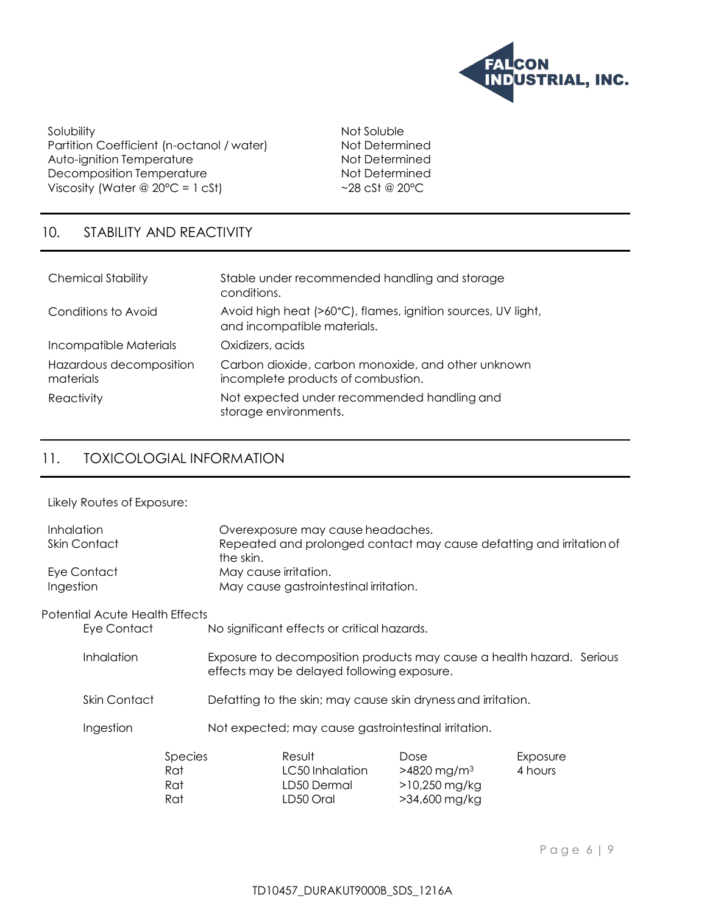

Solubility Not Soluble Partition Coefficient (n-octanol / water) Not Determined Auto-ignition Temperature<br>
Decomposition Temperature<br>
Not Determined Decomposition Temperature Viscosity (Water  $@ 20°C = 1 \text{ cSt}$ )  $~28 \text{ cSt} @ 20°C$ 

# 10. STABILITY AND REACTIVITY

| <b>Chemical Stability</b>            | Stable under recommended handling and storage<br>conditions.                                |
|--------------------------------------|---------------------------------------------------------------------------------------------|
| Conditions to Avoid                  | Avoid high heat (>60°C), flames, ignition sources, UV light,<br>and incompatible materials. |
| Incompatible Materials               | Oxidizers, acids                                                                            |
| Hazardous decomposition<br>materials | Carbon dioxide, carbon monoxide, and other unknown<br>incomplete products of combustion.    |
| Reactivity                           | Not expected under recommended handling and<br>storage environments.                        |

# 11. TOXICOLOGIAL INFORMATION

Likely Routes of Exposure:

| Inhalation<br><b>Skin Contact</b> |                                | Overexposure may cause headaches.<br>Repeated and prolonged contact may cause defatting and irritation of<br>the skin. |                                                               |                                                                 |                                                                         |                     |
|-----------------------------------|--------------------------------|------------------------------------------------------------------------------------------------------------------------|---------------------------------------------------------------|-----------------------------------------------------------------|-------------------------------------------------------------------------|---------------------|
| Ingestion                         | Eye Contact                    |                                                                                                                        |                                                               | May cause irritation.<br>May cause gastrointestinal irritation. |                                                                         |                     |
|                                   | Potential Acute Health Effects |                                                                                                                        |                                                               |                                                                 |                                                                         |                     |
|                                   | Eye Contact                    |                                                                                                                        |                                                               | No significant effects or critical hazards.                     |                                                                         |                     |
|                                   | Inhalation                     |                                                                                                                        |                                                               | effects may be delayed following exposure.                      | Exposure to decomposition products may cause a health hazard. Serious   |                     |
| Skin Contact                      |                                |                                                                                                                        | Defatting to the skin; may cause skin dryness and irritation. |                                                                 |                                                                         |                     |
|                                   | Ingestion                      |                                                                                                                        |                                                               | Not expected; may cause gastrointestinal irritation.            |                                                                         |                     |
|                                   |                                | Species<br>Rat<br>Rat<br>Rat                                                                                           |                                                               | Result<br>LC50 Inhalation<br>LD50 Dermal<br>LD50 Oral           | Dose<br>$>4820$ mg/m <sup>3</sup><br>$>10,250$ mg/kg<br>$>34,600$ mg/kg | Exposure<br>4 hours |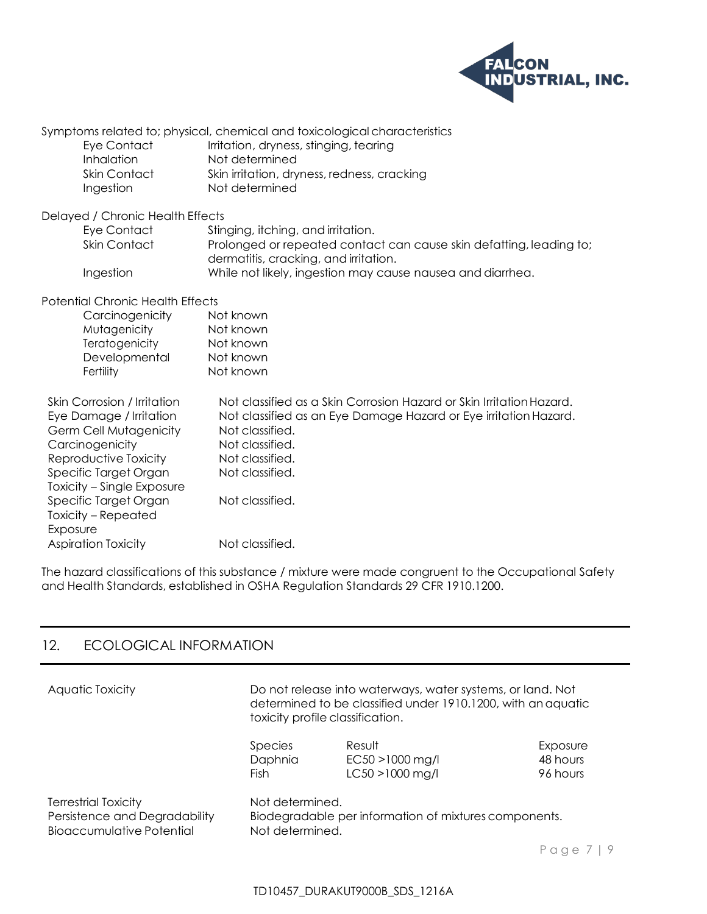

| <b>Eye Contact</b><br>Inhalation<br><b>Skin Contact</b><br>Ingestion                                                                                                                       | Symptoms related to; physical, chemical and toxicological characteristics<br>Irritation, dryness, stinging, tearing<br>Not determined<br>Skin irritation, dryness, redness, cracking<br>Not determined                                  |
|--------------------------------------------------------------------------------------------------------------------------------------------------------------------------------------------|-----------------------------------------------------------------------------------------------------------------------------------------------------------------------------------------------------------------------------------------|
| Delayed / Chronic Health Effects                                                                                                                                                           |                                                                                                                                                                                                                                         |
| Eye Contact<br>Skin Contact                                                                                                                                                                | Stinging, itching, and irritation.<br>Prolonged or repeated contact can cause skin defatting, leading to;<br>dermatitis, cracking, and irritation.                                                                                      |
| Ingestion                                                                                                                                                                                  | While not likely, ingestion may cause nausea and diarrhea.                                                                                                                                                                              |
| <b>Potential Chronic Health Effects</b><br>Carcinogenicity<br>Mutagenicity<br>Teratogenicity<br>Developmental<br>Fertility                                                                 | Not known<br>Not known<br>Not known<br>Not known<br>Not known                                                                                                                                                                           |
| Skin Corrosion / Irritation<br>Eye Damage / Irritation<br><b>Germ Cell Mutagenicity</b><br>Carcinogenicity<br>Reproductive Toxicity<br>Specific Target Organ<br>Toxicity - Single Exposure | Not classified as a Skin Corrosion Hazard or Skin Irritation Hazard.<br>Not classified as an Eye Damage Hazard or Eye irritation Hazard.<br>Not classified.<br>Not classified.<br>Not classified.<br>Not classified.<br>Not classified. |
| Specific Target Organ<br>Toxicity – Repeated<br>Exposure<br><b>Aspiration Toxicity</b>                                                                                                     | Not classified.                                                                                                                                                                                                                         |
|                                                                                                                                                                                            |                                                                                                                                                                                                                                         |

The hazard classifications of this substance / mixture were made congruent to the Occupational Safety and Health Standards, established in OSHA Regulation Standards 29 CFR 1910.1200.

# 12. ECOLOGICAL INFORMATION

| Aquatic Toxicity                 | Do not release into waterways, water systems, or land. Not<br>determined to be classified under 1910.1200, with an aquatic<br>toxicity profile classification. |                 |          |
|----------------------------------|----------------------------------------------------------------------------------------------------------------------------------------------------------------|-----------------|----------|
|                                  | <i>Species</i>                                                                                                                                                 | Result          | Exposure |
|                                  | Daphnia                                                                                                                                                        | EC50 >1000 mg/l | 48 hours |
|                                  | Fish                                                                                                                                                           | LC50 >1000 mg/l | 96 hours |
| <b>Terrestrial Toxicity</b>      | Not determined.                                                                                                                                                |                 |          |
| Persistence and Degradability    | Biodegradable per information of mixtures components.                                                                                                          |                 |          |
| <b>Bioaccumulative Potential</b> | Not determined.                                                                                                                                                |                 |          |
|                                  |                                                                                                                                                                |                 | Page     |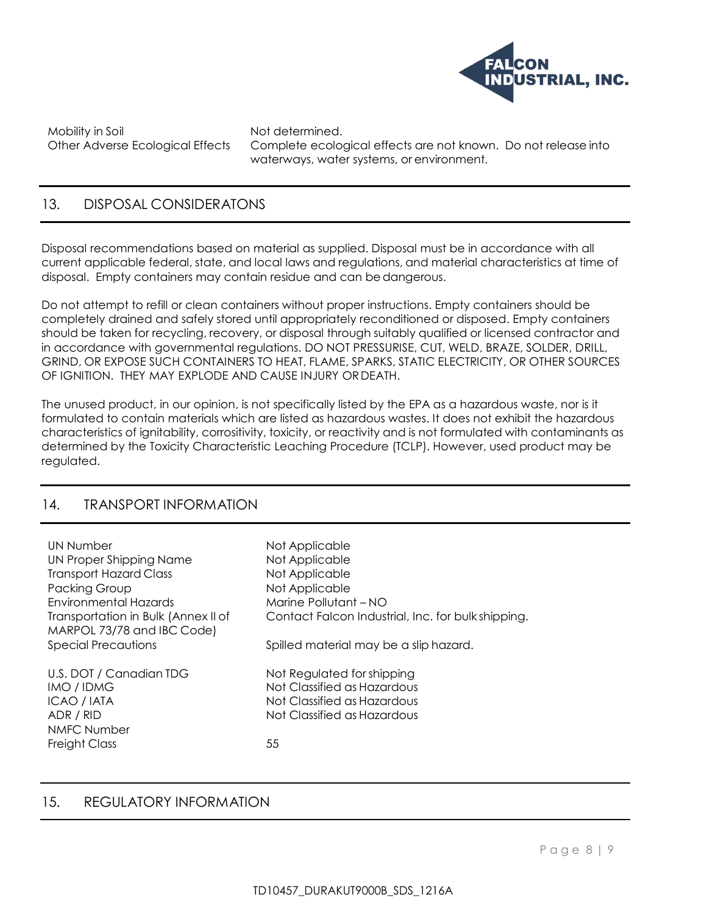

Mobility in Soil Not determined.

Other Adverse Ecological Effects Complete ecological effects are not known. Do not release into waterways, water systems, or environment.

### 13. DISPOSAL CONSIDERATONS

Disposal recommendations based on material as supplied. Disposal must be in accordance with all current applicable federal, state, and local laws and regulations, and material characteristics at time of disposal. Empty containers may contain residue and can bedangerous.

Do not attempt to refill or clean containers without proper instructions. Empty containers should be completely drained and safely stored until appropriately reconditioned or disposed. Empty containers should be taken for recycling, recovery, or disposal through suitably qualified or licensed contractor and in accordance with governmental regulations. DO NOT PRESSURISE, CUT, WELD, BRAZE, SOLDER, DRILL, GRIND, OR EXPOSE SUCH CONTAINERS TO HEAT, FLAME, SPARKS, STATIC ELECTRICITY, OR OTHER SOURCES OF IGNITION. THEY MAY EXPLODE AND CAUSE INJURY ORDEATH.

The unused product, in our opinion, is not specifically listed by the EPA as a hazardous waste, nor is it formulated to contain materials which are listed as hazardous wastes. It does not exhibit the hazardous characteristics of ignitability, corrositivity, toxicity, or reactivity and is not formulated with contaminants as determined by the Toxicity Characteristic Leaching Procedure (TCLP). However, used product may be regulated.

#### 14. TRANSPORT INFORMATION

| UN Number                           | Not Applicable                                     |
|-------------------------------------|----------------------------------------------------|
| UN Proper Shipping Name             | Not Applicable                                     |
| <b>Transport Hazard Class</b>       | Not Applicable                                     |
| Packing Group                       | Not Applicable                                     |
| Environmental Hazards               | Marine Pollutant - NO                              |
| Transportation in Bulk (Annex II of | Contact Falcon Industrial, Inc. for bulk shipping. |
| MARPOL 73/78 and IBC Code)          |                                                    |
| <b>Special Precautions</b>          | Spilled material may be a slip hazard.             |
|                                     |                                                    |
| U.S. DOT / Canadian TDG             | Not Regulated for shipping                         |
| IMO / IDMG                          | Not Classified as Hazardous                        |
| ICAO / IATA                         | Not Classified as Hazardous                        |
| ADR / RID                           | Not Classified as Hazardous                        |
| <b>NMFC Number</b>                  |                                                    |
| Freight Class                       | 55                                                 |
|                                     |                                                    |

#### 15. REGULATORY INFORMATION